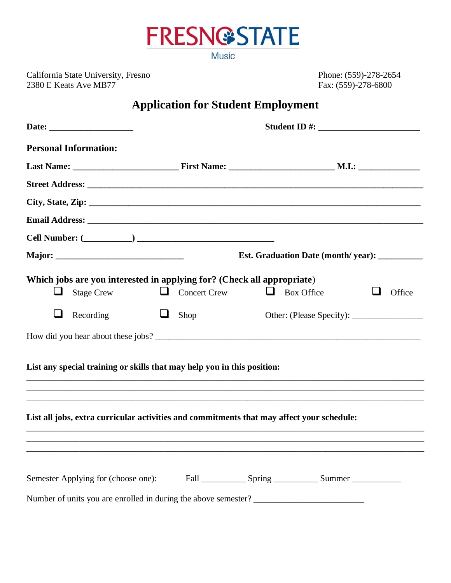

**Music** 

California State University, Fresno Phone: (559)-278-2654<br>
2380 E Keats Ave MB77 Fax: (559)-278-6800 2380 E Keats Ave MB77

## **Application for Student Employment**

| <b>Personal Information:</b>                                                                     |                     |                   |        |  |
|--------------------------------------------------------------------------------------------------|---------------------|-------------------|--------|--|
|                                                                                                  |                     |                   |        |  |
|                                                                                                  |                     |                   |        |  |
|                                                                                                  |                     |                   |        |  |
|                                                                                                  |                     |                   |        |  |
|                                                                                                  |                     |                   |        |  |
|                                                                                                  |                     |                   |        |  |
| Which jobs are you interested in applying for? (Check all appropriate)<br><b>Stage Crew</b><br>u | $\Box$ Concert Crew | <b>Box Office</b> | Office |  |
| ⊔<br>Recording                                                                                   | ⊔<br>Shop           |                   |        |  |
|                                                                                                  |                     |                   |        |  |
| List any special training or skills that may help you in this position:                          |                     |                   |        |  |
| List all jobs, extra curricular activities and commitments that may affect your schedule:        |                     |                   |        |  |
|                                                                                                  |                     |                   |        |  |
|                                                                                                  |                     |                   |        |  |
| Number of units you are enrolled in during the above semester?                                   |                     |                   |        |  |